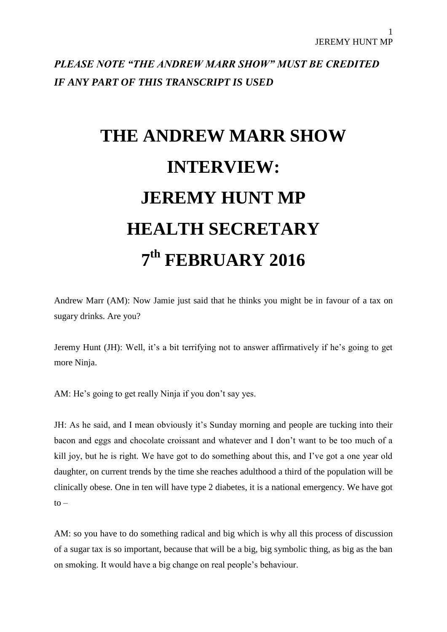*PLEASE NOTE "THE ANDREW MARR SHOW" MUST BE CREDITED IF ANY PART OF THIS TRANSCRIPT IS USED*

## **THE ANDREW MARR SHOW INTERVIEW: JEREMY HUNT MP HEALTH SECRETARY 7 th FEBRUARY 2016**

Andrew Marr (AM): Now Jamie just said that he thinks you might be in favour of a tax on sugary drinks. Are you?

Jeremy Hunt (JH): Well, it's a bit terrifying not to answer affirmatively if he's going to get more Ninja.

AM: He's going to get really Ninja if you don't say yes.

JH: As he said, and I mean obviously it's Sunday morning and people are tucking into their bacon and eggs and chocolate croissant and whatever and I don't want to be too much of a kill joy, but he is right. We have got to do something about this, and I've got a one year old daughter, on current trends by the time she reaches adulthood a third of the population will be clinically obese. One in ten will have type 2 diabetes, it is a national emergency. We have got  $to -$ 

AM: so you have to do something radical and big which is why all this process of discussion of a sugar tax is so important, because that will be a big, big symbolic thing, as big as the ban on smoking. It would have a big change on real people's behaviour.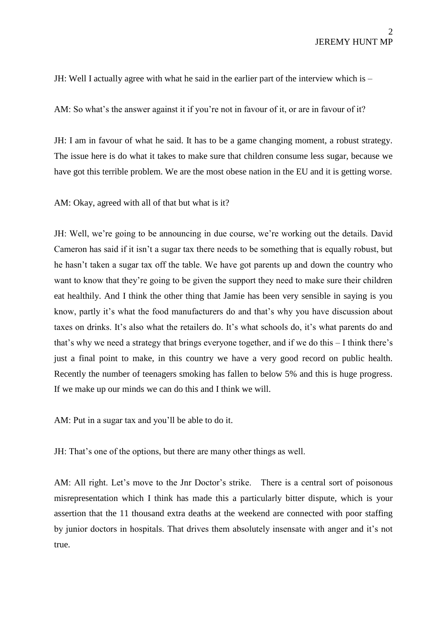JH: Well I actually agree with what he said in the earlier part of the interview which is –

AM: So what's the answer against it if you're not in favour of it, or are in favour of it?

JH: I am in favour of what he said. It has to be a game changing moment, a robust strategy. The issue here is do what it takes to make sure that children consume less sugar, because we have got this terrible problem. We are the most obese nation in the EU and it is getting worse.

AM: Okay, agreed with all of that but what is it?

JH: Well, we're going to be announcing in due course, we're working out the details. David Cameron has said if it isn't a sugar tax there needs to be something that is equally robust, but he hasn't taken a sugar tax off the table. We have got parents up and down the country who want to know that they're going to be given the support they need to make sure their children eat healthily. And I think the other thing that Jamie has been very sensible in saying is you know, partly it's what the food manufacturers do and that's why you have discussion about taxes on drinks. It's also what the retailers do. It's what schools do, it's what parents do and that's why we need a strategy that brings everyone together, and if we do this – I think there's just a final point to make, in this country we have a very good record on public health. Recently the number of teenagers smoking has fallen to below 5% and this is huge progress. If we make up our minds we can do this and I think we will.

AM: Put in a sugar tax and you'll be able to do it.

JH: That's one of the options, but there are many other things as well.

AM: All right. Let's move to the Jnr Doctor's strike. There is a central sort of poisonous misrepresentation which I think has made this a particularly bitter dispute, which is your assertion that the 11 thousand extra deaths at the weekend are connected with poor staffing by junior doctors in hospitals. That drives them absolutely insensate with anger and it's not true.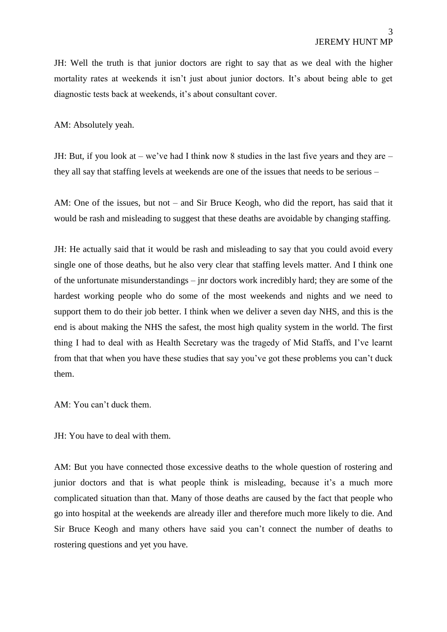JH: Well the truth is that junior doctors are right to say that as we deal with the higher mortality rates at weekends it isn't just about junior doctors. It's about being able to get diagnostic tests back at weekends, it's about consultant cover.

AM: Absolutely yeah.

JH: But, if you look at – we've had I think now 8 studies in the last five years and they are – they all say that staffing levels at weekends are one of the issues that needs to be serious –

AM: One of the issues, but not – and Sir Bruce Keogh, who did the report, has said that it would be rash and misleading to suggest that these deaths are avoidable by changing staffing.

JH: He actually said that it would be rash and misleading to say that you could avoid every single one of those deaths, but he also very clear that staffing levels matter. And I think one of the unfortunate misunderstandings – jnr doctors work incredibly hard; they are some of the hardest working people who do some of the most weekends and nights and we need to support them to do their job better. I think when we deliver a seven day NHS, and this is the end is about making the NHS the safest, the most high quality system in the world. The first thing I had to deal with as Health Secretary was the tragedy of Mid Staffs, and I've learnt from that that when you have these studies that say you've got these problems you can't duck them.

AM: You can't duck them.

JH: You have to deal with them.

AM: But you have connected those excessive deaths to the whole question of rostering and junior doctors and that is what people think is misleading, because it's a much more complicated situation than that. Many of those deaths are caused by the fact that people who go into hospital at the weekends are already iller and therefore much more likely to die. And Sir Bruce Keogh and many others have said you can't connect the number of deaths to rostering questions and yet you have.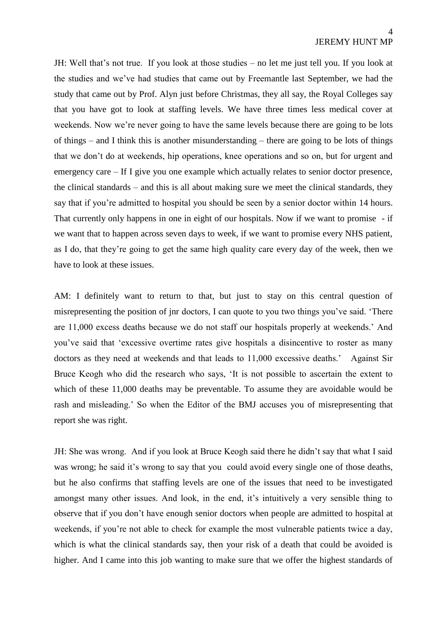JH: Well that's not true. If you look at those studies – no let me just tell you. If you look at the studies and we've had studies that came out by Freemantle last September, we had the study that came out by Prof. Alyn just before Christmas, they all say, the Royal Colleges say that you have got to look at staffing levels. We have three times less medical cover at weekends. Now we're never going to have the same levels because there are going to be lots of things – and I think this is another misunderstanding – there are going to be lots of things that we don't do at weekends, hip operations, knee operations and so on, but for urgent and emergency care – If I give you one example which actually relates to senior doctor presence, the clinical standards – and this is all about making sure we meet the clinical standards, they say that if you're admitted to hospital you should be seen by a senior doctor within 14 hours. That currently only happens in one in eight of our hospitals. Now if we want to promise - if we want that to happen across seven days to week, if we want to promise every NHS patient, as I do, that they're going to get the same high quality care every day of the week, then we have to look at these issues.

AM: I definitely want to return to that, but just to stay on this central question of misrepresenting the position of jnr doctors, I can quote to you two things you've said. 'There are 11,000 excess deaths because we do not staff our hospitals properly at weekends.' And you've said that 'excessive overtime rates give hospitals a disincentive to roster as many doctors as they need at weekends and that leads to 11,000 excessive deaths.' Against Sir Bruce Keogh who did the research who says, 'It is not possible to ascertain the extent to which of these 11,000 deaths may be preventable. To assume they are avoidable would be rash and misleading.' So when the Editor of the BMJ accuses you of misrepresenting that report she was right.

JH: She was wrong. And if you look at Bruce Keogh said there he didn't say that what I said was wrong; he said it's wrong to say that you could avoid every single one of those deaths, but he also confirms that staffing levels are one of the issues that need to be investigated amongst many other issues. And look, in the end, it's intuitively a very sensible thing to observe that if you don't have enough senior doctors when people are admitted to hospital at weekends, if you're not able to check for example the most vulnerable patients twice a day, which is what the clinical standards say, then your risk of a death that could be avoided is higher. And I came into this job wanting to make sure that we offer the highest standards of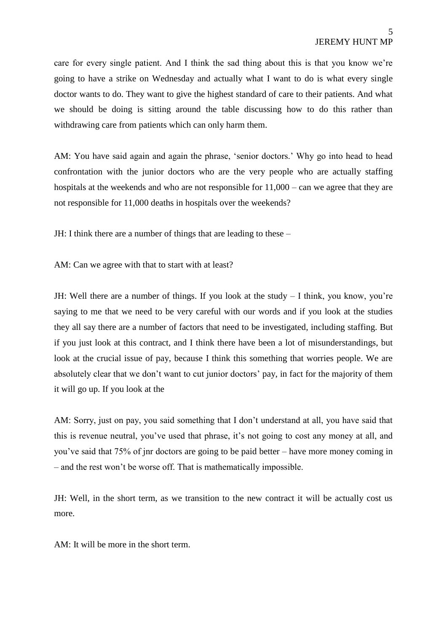care for every single patient. And I think the sad thing about this is that you know we're going to have a strike on Wednesday and actually what I want to do is what every single doctor wants to do. They want to give the highest standard of care to their patients. And what we should be doing is sitting around the table discussing how to do this rather than withdrawing care from patients which can only harm them.

AM: You have said again and again the phrase, 'senior doctors.' Why go into head to head confrontation with the junior doctors who are the very people who are actually staffing hospitals at the weekends and who are not responsible for  $11,000 -$  can we agree that they are not responsible for 11,000 deaths in hospitals over the weekends?

JH: I think there are a number of things that are leading to these –

AM: Can we agree with that to start with at least?

JH: Well there are a number of things. If you look at the study – I think, you know, you're saying to me that we need to be very careful with our words and if you look at the studies they all say there are a number of factors that need to be investigated, including staffing. But if you just look at this contract, and I think there have been a lot of misunderstandings, but look at the crucial issue of pay, because I think this something that worries people. We are absolutely clear that we don't want to cut junior doctors' pay, in fact for the majority of them it will go up. If you look at the

AM: Sorry, just on pay, you said something that I don't understand at all, you have said that this is revenue neutral, you've used that phrase, it's not going to cost any money at all, and you've said that 75% of jnr doctors are going to be paid better – have more money coming in – and the rest won't be worse off. That is mathematically impossible.

JH: Well, in the short term, as we transition to the new contract it will be actually cost us more.

AM: It will be more in the short term.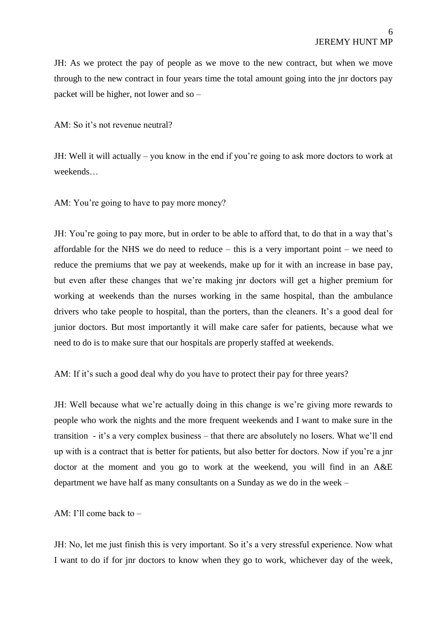JH: As we protect the pay of people as we move to the new contract, but when we move through to the new contract in four years time the total amount going into the jnr doctors pay packet will be higher, not lower and so –

AM: So it's not revenue neutral?

JH: Well it will actually – you know in the end if you're going to ask more doctors to work at weekends…

AM: You're going to have to pay more money?

JH: You're going to pay more, but in order to be able to afford that, to do that in a way that's affordable for the NHS we do need to reduce – this is a very important point – we need to reduce the premiums that we pay at weekends, make up for it with an increase in base pay, but even after these changes that we're making jnr doctors will get a higher premium for working at weekends than the nurses working in the same hospital, than the ambulance drivers who take people to hospital, than the porters, than the cleaners. It's a good deal for junior doctors. But most importantly it will make care safer for patients, because what we need to do is to make sure that our hospitals are properly staffed at weekends.

AM: If it's such a good deal why do you have to protect their pay for three years?

JH: Well because what we're actually doing in this change is we're giving more rewards to people who work the nights and the more frequent weekends and I want to make sure in the transition - it's a very complex business – that there are absolutely no losers. What we'll end up with is a contract that is better for patients, but also better for doctors. Now if you're a jnr doctor at the moment and you go to work at the weekend, you will find in an A&E department we have half as many consultants on a Sunday as we do in the week –

AM: I'll come back to –

JH: No, let me just finish this is very important. So it's a very stressful experience. Now what I want to do if for jnr doctors to know when they go to work, whichever day of the week,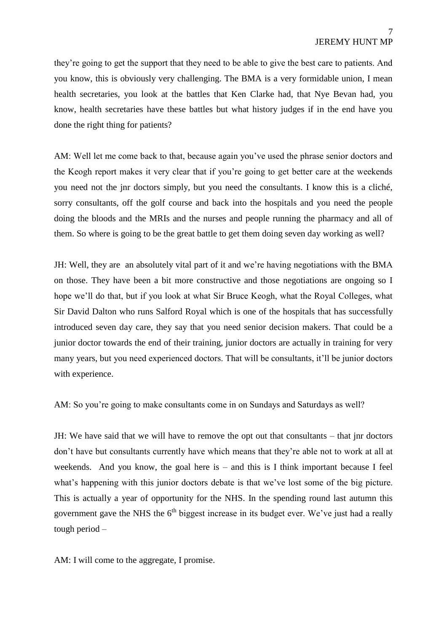they're going to get the support that they need to be able to give the best care to patients. And you know, this is obviously very challenging. The BMA is a very formidable union, I mean health secretaries, you look at the battles that Ken Clarke had, that Nye Bevan had, you know, health secretaries have these battles but what history judges if in the end have you done the right thing for patients?

AM: Well let me come back to that, because again you've used the phrase senior doctors and the Keogh report makes it very clear that if you're going to get better care at the weekends you need not the jnr doctors simply, but you need the consultants. I know this is a cliché, sorry consultants, off the golf course and back into the hospitals and you need the people doing the bloods and the MRIs and the nurses and people running the pharmacy and all of them. So where is going to be the great battle to get them doing seven day working as well?

JH: Well, they are an absolutely vital part of it and we're having negotiations with the BMA on those. They have been a bit more constructive and those negotiations are ongoing so I hope we'll do that, but if you look at what Sir Bruce Keogh, what the Royal Colleges, what Sir David Dalton who runs Salford Royal which is one of the hospitals that has successfully introduced seven day care, they say that you need senior decision makers. That could be a junior doctor towards the end of their training, junior doctors are actually in training for very many years, but you need experienced doctors. That will be consultants, it'll be junior doctors with experience.

AM: So you're going to make consultants come in on Sundays and Saturdays as well?

JH: We have said that we will have to remove the opt out that consultants – that jnr doctors don't have but consultants currently have which means that they're able not to work at all at weekends. And you know, the goal here is  $-$  and this is I think important because I feel what's happening with this junior doctors debate is that we've lost some of the big picture. This is actually a year of opportunity for the NHS. In the spending round last autumn this government gave the NHS the  $6<sup>th</sup>$  biggest increase in its budget ever. We've just had a really tough period –

AM: I will come to the aggregate, I promise.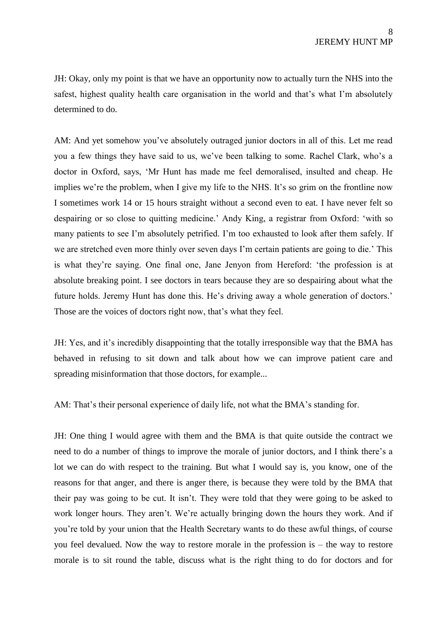JH: Okay, only my point is that we have an opportunity now to actually turn the NHS into the safest, highest quality health care organisation in the world and that's what I'm absolutely determined to do.

AM: And yet somehow you've absolutely outraged junior doctors in all of this. Let me read you a few things they have said to us, we've been talking to some. Rachel Clark, who's a doctor in Oxford, says, 'Mr Hunt has made me feel demoralised, insulted and cheap. He implies we're the problem, when I give my life to the NHS. It's so grim on the frontline now I sometimes work 14 or 15 hours straight without a second even to eat. I have never felt so despairing or so close to quitting medicine.' Andy King, a registrar from Oxford: 'with so many patients to see I'm absolutely petrified. I'm too exhausted to look after them safely. If we are stretched even more thinly over seven days I'm certain patients are going to die.' This is what they're saying. One final one, Jane Jenyon from Hereford: 'the profession is at absolute breaking point. I see doctors in tears because they are so despairing about what the future holds. Jeremy Hunt has done this. He's driving away a whole generation of doctors.' Those are the voices of doctors right now, that's what they feel.

JH: Yes, and it's incredibly disappointing that the totally irresponsible way that the BMA has behaved in refusing to sit down and talk about how we can improve patient care and spreading misinformation that those doctors, for example...

AM: That's their personal experience of daily life, not what the BMA's standing for.

JH: One thing I would agree with them and the BMA is that quite outside the contract we need to do a number of things to improve the morale of junior doctors, and I think there's a lot we can do with respect to the training. But what I would say is, you know, one of the reasons for that anger, and there is anger there, is because they were told by the BMA that their pay was going to be cut. It isn't. They were told that they were going to be asked to work longer hours. They aren't. We're actually bringing down the hours they work. And if you're told by your union that the Health Secretary wants to do these awful things, of course you feel devalued. Now the way to restore morale in the profession is – the way to restore morale is to sit round the table, discuss what is the right thing to do for doctors and for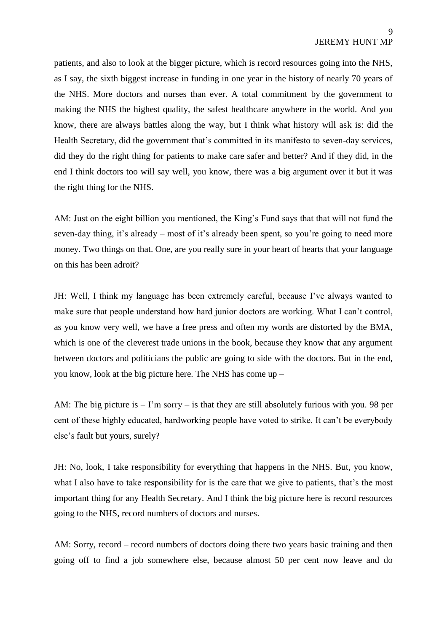patients, and also to look at the bigger picture, which is record resources going into the NHS, as I say, the sixth biggest increase in funding in one year in the history of nearly 70 years of the NHS. More doctors and nurses than ever. A total commitment by the government to making the NHS the highest quality, the safest healthcare anywhere in the world. And you know, there are always battles along the way, but I think what history will ask is: did the Health Secretary, did the government that's committed in its manifesto to seven-day services, did they do the right thing for patients to make care safer and better? And if they did, in the end I think doctors too will say well, you know, there was a big argument over it but it was the right thing for the NHS.

AM: Just on the eight billion you mentioned, the King's Fund says that that will not fund the seven-day thing, it's already – most of it's already been spent, so you're going to need more money. Two things on that. One, are you really sure in your heart of hearts that your language on this has been adroit?

JH: Well, I think my language has been extremely careful, because I've always wanted to make sure that people understand how hard junior doctors are working. What I can't control, as you know very well, we have a free press and often my words are distorted by the BMA, which is one of the cleverest trade unions in the book, because they know that any argument between doctors and politicians the public are going to side with the doctors. But in the end, you know, look at the big picture here. The NHS has come up –

AM: The big picture is – I'm sorry – is that they are still absolutely furious with you. 98 per cent of these highly educated, hardworking people have voted to strike. It can't be everybody else's fault but yours, surely?

JH: No, look, I take responsibility for everything that happens in the NHS. But, you know, what I also have to take responsibility for is the care that we give to patients, that's the most important thing for any Health Secretary. And I think the big picture here is record resources going to the NHS, record numbers of doctors and nurses.

AM: Sorry, record – record numbers of doctors doing there two years basic training and then going off to find a job somewhere else, because almost 50 per cent now leave and do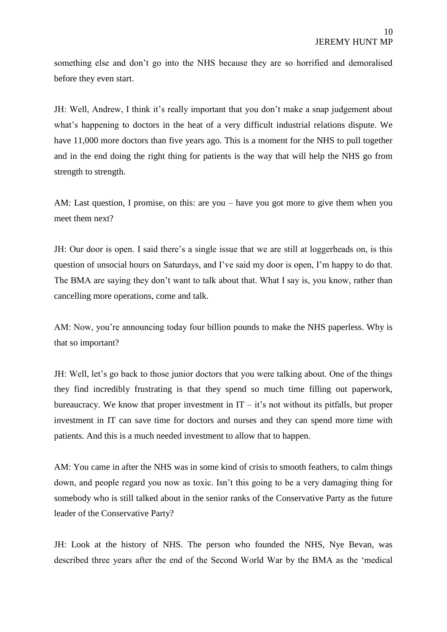something else and don't go into the NHS because they are so horrified and demoralised before they even start.

JH: Well, Andrew, I think it's really important that you don't make a snap judgement about what's happening to doctors in the heat of a very difficult industrial relations dispute. We have 11,000 more doctors than five years ago. This is a moment for the NHS to pull together and in the end doing the right thing for patients is the way that will help the NHS go from strength to strength.

AM: Last question, I promise, on this: are you – have you got more to give them when you meet them next?

JH: Our door is open. I said there's a single issue that we are still at loggerheads on, is this question of unsocial hours on Saturdays, and I've said my door is open, I'm happy to do that. The BMA are saying they don't want to talk about that. What I say is, you know, rather than cancelling more operations, come and talk.

AM: Now, you're announcing today four billion pounds to make the NHS paperless. Why is that so important?

JH: Well, let's go back to those junior doctors that you were talking about. One of the things they find incredibly frustrating is that they spend so much time filling out paperwork, bureaucracy. We know that proper investment in  $IT - it's$  not without its pitfalls, but proper investment in IT can save time for doctors and nurses and they can spend more time with patients. And this is a much needed investment to allow that to happen.

AM: You came in after the NHS was in some kind of crisis to smooth feathers, to calm things down, and people regard you now as toxic. Isn't this going to be a very damaging thing for somebody who is still talked about in the senior ranks of the Conservative Party as the future leader of the Conservative Party?

JH: Look at the history of NHS. The person who founded the NHS, Nye Bevan, was described three years after the end of the Second World War by the BMA as the 'medical